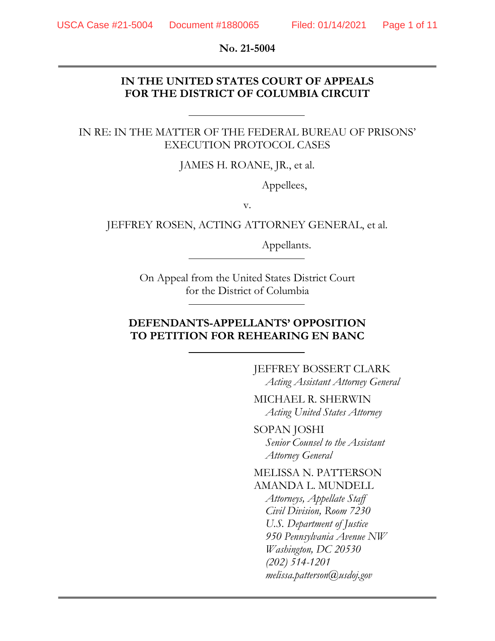**No. 21-5004**

### **IN THE UNITED STATES COURT OF APPEALS FOR THE DISTRICT OF COLUMBIA CIRCUIT**

#### IN RE: IN THE MATTER OF THE FEDERAL BUREAU OF PRISONS' EXECUTION PROTOCOL CASES

JAMES H. ROANE, JR., et al.

Appellees,

v.

JEFFREY ROSEN, ACTING ATTORNEY GENERAL, et al.

Appellants.

On Appeal from the United States District Court for the District of Columbia

### **DEFENDANTS-APPELLANTS' OPPOSITION TO PETITION FOR REHEARING EN BANC**

JEFFREY BOSSERT CLARK *Acting Assistant Attorney General*

MICHAEL R. SHERWIN *Acting United States Attorney*

SOPAN JOSHI *Senior Counsel to the Assistant Attorney General*

MELISSA N. PATTERSON AMANDA L. MUNDELL *Attorneys, Appellate Staff Civil Division, Room 7230 U.S. Department of Justice 950 Pennsylvania Avenue NW Washington, DC 20530 (202) 514-1201 melissa.patterson@usdoj.gov*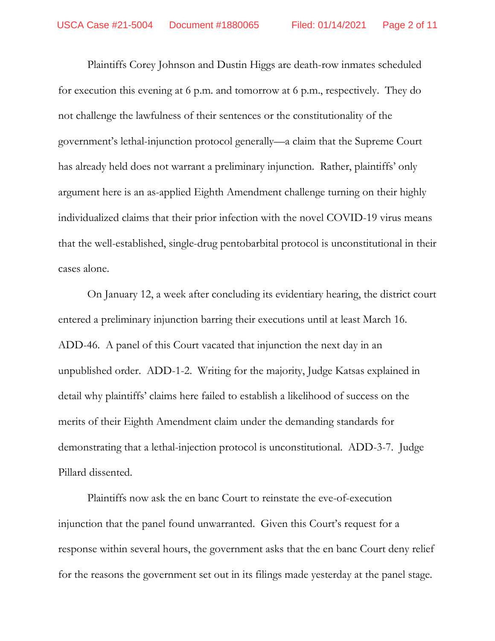Plaintiffs Corey Johnson and Dustin Higgs are death-row inmates scheduled for execution this evening at 6 p.m. and tomorrow at 6 p.m., respectively. They do not challenge the lawfulness of their sentences or the constitutionality of the government's lethal-injunction protocol generally—a claim that the Supreme Court has already held does not warrant a preliminary injunction. Rather, plaintiffs' only argument here is an as-applied Eighth Amendment challenge turning on their highly individualized claims that their prior infection with the novel COVID-19 virus means that the well-established, single-drug pentobarbital protocol is unconstitutional in their cases alone.

On January 12, a week after concluding its evidentiary hearing, the district court entered a preliminary injunction barring their executions until at least March 16. ADD-46. A panel of this Court vacated that injunction the next day in an unpublished order. ADD-1-2. Writing for the majority, Judge Katsas explained in detail why plaintiffs' claims here failed to establish a likelihood of success on the merits of their Eighth Amendment claim under the demanding standards for demonstrating that a lethal-injection protocol is unconstitutional. ADD-3-7. Judge Pillard dissented.

Plaintiffs now ask the en banc Court to reinstate the eve-of-execution injunction that the panel found unwarranted. Given this Court's request for a response within several hours, the government asks that the en banc Court deny relief for the reasons the government set out in its filings made yesterday at the panel stage.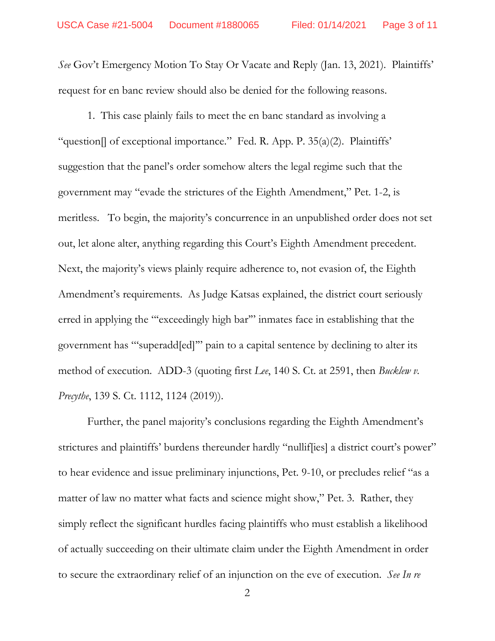*See* Gov't Emergency Motion To Stay Or Vacate and Reply (Jan. 13, 2021). Plaintiffs' request for en banc review should also be denied for the following reasons.

1. This case plainly fails to meet the en banc standard as involving a "question[] of exceptional importance." Fed. R. App. P. 35(a)(2). Plaintiffs' suggestion that the panel's order somehow alters the legal regime such that the government may "evade the strictures of the Eighth Amendment," Pet. 1-2, is meritless. To begin, the majority's concurrence in an unpublished order does not set out, let alone alter, anything regarding this Court's Eighth Amendment precedent. Next, the majority's views plainly require adherence to, not evasion of, the Eighth Amendment's requirements. As Judge Katsas explained, the district court seriously erred in applying the "'exceedingly high bar'" inmates face in establishing that the government has "'superadd[ed]'" pain to a capital sentence by declining to alter its method of execution. ADD-3 (quoting first *Lee*, 140 S. Ct. at 2591, then *Bucklew v. Precythe*, 139 S. Ct. 1112, 1124 (2019)).

Further, the panel majority's conclusions regarding the Eighth Amendment's strictures and plaintiffs' burdens thereunder hardly "nulliffies] a district court's power" to hear evidence and issue preliminary injunctions, Pet. 9-10, or precludes relief "as a matter of law no matter what facts and science might show," Pet. 3. Rather, they simply reflect the significant hurdles facing plaintiffs who must establish a likelihood of actually succeeding on their ultimate claim under the Eighth Amendment in order to secure the extraordinary relief of an injunction on the eve of execution. *See In re*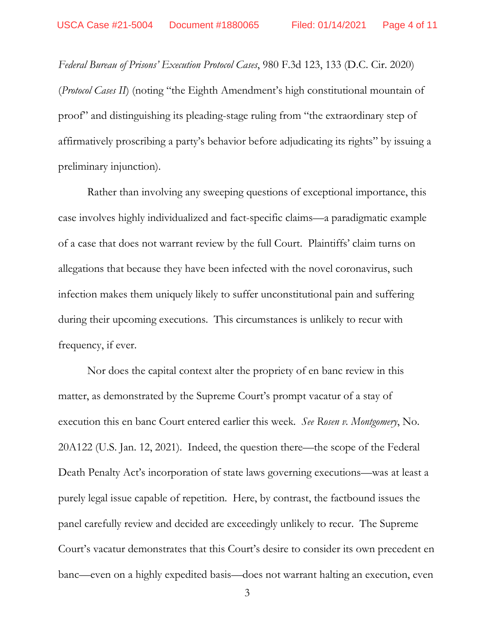*Federal Bureau of Prisons' Execution Protocol Cases*, 980 F.3d 123, 133 (D.C. Cir. 2020) (*Protocol Cases II*) (noting "the Eighth Amendment's high constitutional mountain of proof" and distinguishing its pleading-stage ruling from "the extraordinary step of affirmatively proscribing a party's behavior before adjudicating its rights" by issuing a preliminary injunction).

Rather than involving any sweeping questions of exceptional importance, this case involves highly individualized and fact-specific claims—a paradigmatic example of a case that does not warrant review by the full Court. Plaintiffs' claim turns on allegations that because they have been infected with the novel coronavirus, such infection makes them uniquely likely to suffer unconstitutional pain and suffering during their upcoming executions. This circumstances is unlikely to recur with frequency, if ever.

Nor does the capital context alter the propriety of en banc review in this matter, as demonstrated by the Supreme Court's prompt vacatur of a stay of execution this en banc Court entered earlier this week. *See Rosen v. Montgomery*, No. 20A122 (U.S. Jan. 12, 2021). Indeed, the question there—the scope of the Federal Death Penalty Act's incorporation of state laws governing executions—was at least a purely legal issue capable of repetition. Here, by contrast, the factbound issues the panel carefully review and decided are exceedingly unlikely to recur. The Supreme Court's vacatur demonstrates that this Court's desire to consider its own precedent en banc—even on a highly expedited basis—does not warrant halting an execution, even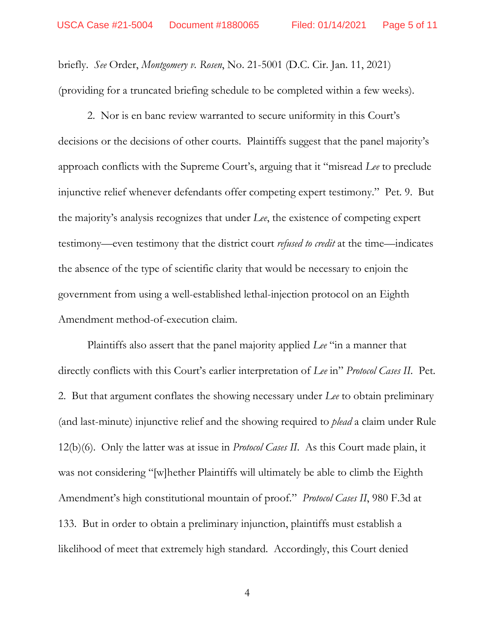briefly. *See* Order, *Montgomery v. Rosen*, No. 21-5001 (D.C. Cir. Jan. 11, 2021) (providing for a truncated briefing schedule to be completed within a few weeks).

2. Nor is en banc review warranted to secure uniformity in this Court's decisions or the decisions of other courts. Plaintiffs suggest that the panel majority's approach conflicts with the Supreme Court's, arguing that it "misread *Lee* to preclude injunctive relief whenever defendants offer competing expert testimony." Pet. 9. But the majority's analysis recognizes that under *Lee*, the existence of competing expert testimony—even testimony that the district court *refused to credit* at the time—indicates the absence of the type of scientific clarity that would be necessary to enjoin the government from using a well-established lethal-injection protocol on an Eighth Amendment method-of-execution claim.

Plaintiffs also assert that the panel majority applied *Lee* "in a manner that directly conflicts with this Court's earlier interpretation of *Lee* in" *Protocol Cases II*. Pet. 2. But that argument conflates the showing necessary under *Lee* to obtain preliminary (and last-minute) injunctive relief and the showing required to *plead* a claim under Rule 12(b)(6). Only the latter was at issue in *Protocol Cases II*. As this Court made plain, it was not considering "[w]hether Plaintiffs will ultimately be able to climb the Eighth Amendment's high constitutional mountain of proof." *Protocol Cases II*, 980 F.3d at 133. But in order to obtain a preliminary injunction, plaintiffs must establish a likelihood of meet that extremely high standard. Accordingly, this Court denied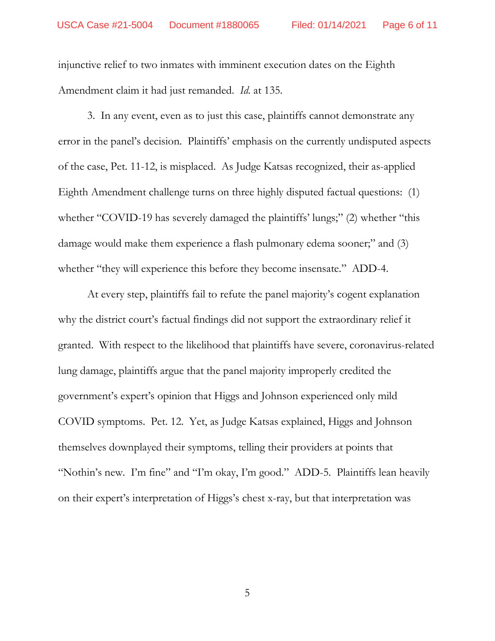injunctive relief to two inmates with imminent execution dates on the Eighth Amendment claim it had just remanded. *Id.* at 135.

3. In any event, even as to just this case, plaintiffs cannot demonstrate any error in the panel's decision. Plaintiffs' emphasis on the currently undisputed aspects of the case, Pet. 11-12, is misplaced. As Judge Katsas recognized, their as-applied Eighth Amendment challenge turns on three highly disputed factual questions: (1) whether "COVID-19 has severely damaged the plaintiffs' lungs;" (2) whether "this damage would make them experience a flash pulmonary edema sooner;" and (3) whether "they will experience this before they become insensate." ADD-4.

At every step, plaintiffs fail to refute the panel majority's cogent explanation why the district court's factual findings did not support the extraordinary relief it granted. With respect to the likelihood that plaintiffs have severe, coronavirus-related lung damage, plaintiffs argue that the panel majority improperly credited the government's expert's opinion that Higgs and Johnson experienced only mild COVID symptoms. Pet. 12. Yet, as Judge Katsas explained, Higgs and Johnson themselves downplayed their symptoms, telling their providers at points that "Nothin's new. I'm fine" and "I'm okay, I'm good." ADD-5. Plaintiffs lean heavily on their expert's interpretation of Higgs's chest x-ray, but that interpretation was

5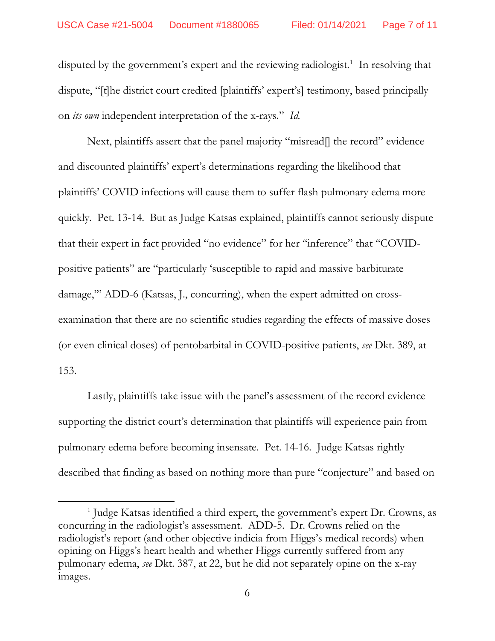disputed by the government's expert and the reviewing radiologist.<sup>[1](#page-6-0)</sup> In resolving that dispute, "[t]he district court credited [plaintiffs' expert's] testimony, based principally on *its own* independent interpretation of the x-rays." *Id.*

Next, plaintiffs assert that the panel majority "misread<sup>[]</sup> the record" evidence and discounted plaintiffs' expert's determinations regarding the likelihood that plaintiffs' COVID infections will cause them to suffer flash pulmonary edema more quickly. Pet. 13-14. But as Judge Katsas explained, plaintiffs cannot seriously dispute that their expert in fact provided "no evidence" for her "inference" that "COVIDpositive patients" are "particularly 'susceptible to rapid and massive barbiturate damage,'" ADD-6 (Katsas, J., concurring), when the expert admitted on crossexamination that there are no scientific studies regarding the effects of massive doses (or even clinical doses) of pentobarbital in COVID-positive patients, *see* Dkt. 389, at 153.

Lastly, plaintiffs take issue with the panel's assessment of the record evidence supporting the district court's determination that plaintiffs will experience pain from pulmonary edema before becoming insensate. Pet. 14-16. Judge Katsas rightly described that finding as based on nothing more than pure "conjecture" and based on

 $\overline{a}$ 

<span id="page-6-0"></span><sup>1</sup> Judge Katsas identified a third expert, the government's expert Dr. Crowns, as concurring in the radiologist's assessment. ADD-5. Dr. Crowns relied on the radiologist's report (and other objective indicia from Higgs's medical records) when opining on Higgs's heart health and whether Higgs currently suffered from any pulmonary edema, *see* Dkt. 387, at 22, but he did not separately opine on the x-ray images.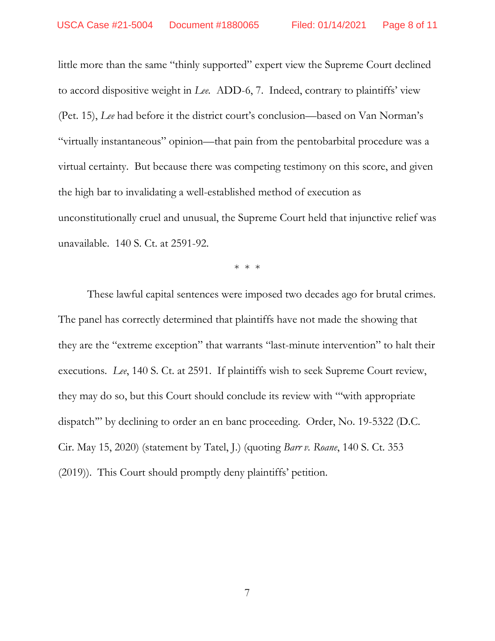little more than the same "thinly supported" expert view the Supreme Court declined to accord dispositive weight in *Lee.* ADD-6, 7. Indeed, contrary to plaintiffs' view (Pet. 15), *Lee* had before it the district court's conclusion—based on Van Norman's "virtually instantaneous" opinion—that pain from the pentobarbital procedure was a virtual certainty. But because there was competing testimony on this score, and given the high bar to invalidating a well-established method of execution as unconstitutionally cruel and unusual, the Supreme Court held that injunctive relief was unavailable. 140 S. Ct. at 2591-92.

\* \* \*

These lawful capital sentences were imposed two decades ago for brutal crimes. The panel has correctly determined that plaintiffs have not made the showing that they are the "extreme exception" that warrants "last-minute intervention" to halt their executions. *Lee*, 140 S. Ct. at 2591. If plaintiffs wish to seek Supreme Court review, they may do so, but this Court should conclude its review with "'with appropriate dispatch'" by declining to order an en banc proceeding. Order, No. 19-5322 (D.C. Cir. May 15, 2020) (statement by Tatel, J.) (quoting *Barr v. Roane*, 140 S. Ct. 353 (2019)). This Court should promptly deny plaintiffs' petition.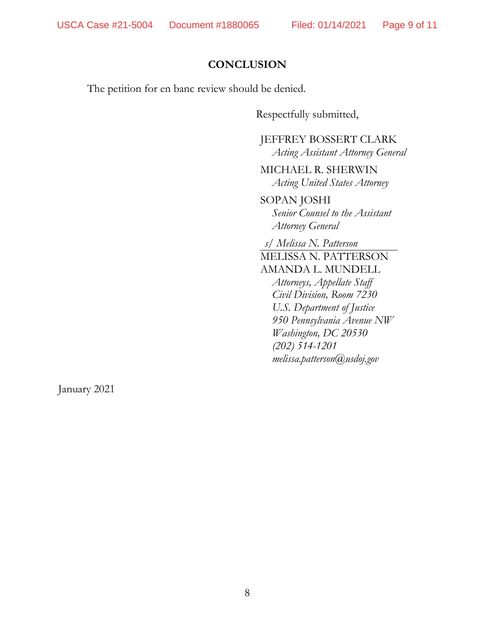# **CONCLUSION**

The petition for en banc review should be denied.

Respectfully submitted,

JEFFREY BOSSERT CLARK *Acting Assistant Attorney General*

MICHAEL R. SHERWIN *Acting United States Attorney*

SOPAN JOSHI *Senior Counsel to the Assistant Attorney General*

*s/ Melissa N. Patterson*

MELISSA N. PATTERSON AMANDA L. MUNDELL *Attorneys, Appellate Staff Civil Division, Room 7230 U.S. Department of Justice 950 Pennsylvania Avenue NW Washington, DC 20530 (202) 514-1201 melissa.patterson@usdoj.gov*

January 2021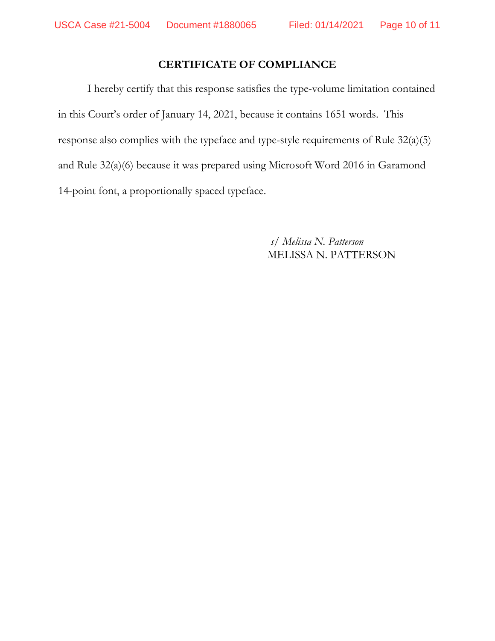# **CERTIFICATE OF COMPLIANCE**

I hereby certify that this response satisfies the type-volume limitation contained in this Court's order of January 14, 2021, because it contains 1651 words. This response also complies with the typeface and type-style requirements of Rule 32(a)(5) and Rule 32(a)(6) because it was prepared using Microsoft Word 2016 in Garamond 14-point font, a proportionally spaced typeface.

> *s/ Melissa N. Patterson* MELISSA N. PATTERSON